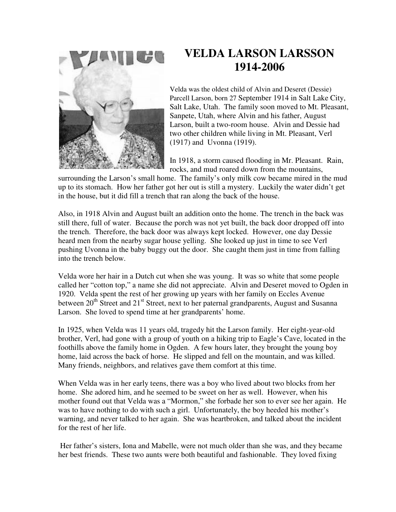

## **VELDA LARSON LARSSON 1914-2006**

Velda was the oldest child of Alvin and Deseret (Dessie) Parcell Larson, born 27 September 1914 in Salt Lake City, Salt Lake, Utah. The family soon moved to Mt. Pleasant, Sanpete, Utah, where Alvin and his father, August Larson, built a two-room house. Alvin and Dessie had two other children while living in Mt. Pleasant, Verl (1917) and Uvonna (1919).

In 1918, a storm caused flooding in Mr. Pleasant. Rain, rocks, and mud roared down from the mountains,

surrounding the Larson's small home. The family's only milk cow became mired in the mud up to its stomach. How her father got her out is still a mystery. Luckily the water didn't get in the house, but it did fill a trench that ran along the back of the house.

Also, in 1918 Alvin and August built an addition onto the home. The trench in the back was still there, full of water. Because the porch was not yet built, the back door dropped off into the trench. Therefore, the back door was always kept locked. However, one day Dessie heard men from the nearby sugar house yelling. She looked up just in time to see Verl pushing Uvonna in the baby buggy out the door. She caught them just in time from falling into the trench below.

Velda wore her hair in a Dutch cut when she was young. It was so white that some people called her "cotton top," a name she did not appreciate. Alvin and Deseret moved to Ogden in 1920. Velda spent the rest of her growing up years with her family on Eccles Avenue between 20<sup>th</sup> Street and 21<sup>st</sup> Street, next to her paternal grandparents, August and Susanna Larson. She loved to spend time at her grandparents' home.

In 1925, when Velda was 11 years old, tragedy hit the Larson family. Her eight-year-old brother, Verl, had gone with a group of youth on a hiking trip to Eagle's Cave, located in the foothills above the family home in Ogden. A few hours later, they brought the young boy home, laid across the back of horse. He slipped and fell on the mountain, and was killed. Many friends, neighbors, and relatives gave them comfort at this time.

When Velda was in her early teens, there was a boy who lived about two blocks from her home. She adored him, and he seemed to be sweet on her as well. However, when his mother found out that Velda was a "Mormon," she forbade her son to ever see her again. He was to have nothing to do with such a girl. Unfortunately, the boy heeded his mother's warning, and never talked to her again. She was heartbroken, and talked about the incident for the rest of her life.

 Her father's sisters, Iona and Mabelle, were not much older than she was, and they became her best friends. These two aunts were both beautiful and fashionable. They loved fixing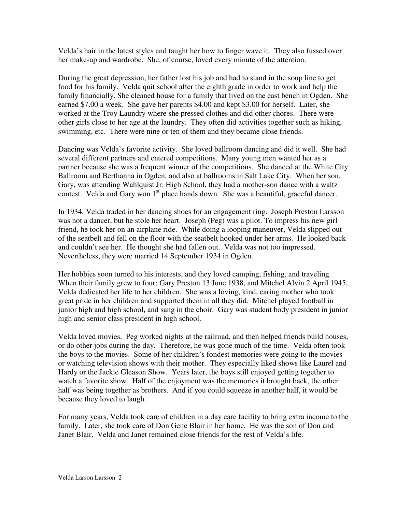Velda's hair in the latest styles and taught her how to finger wave it. They also fussed over her make-up and wardrobe. She, of course, loved every minute of the attention.

During the great depression, her father lost his job and had to stand in the soup line to get food for his family. Velda quit school after the eighth grade in order to work and help the family financially. She cleaned house for a family that lived on the east bench in Ogden. She earned \$7.00 a week. She gave her parents \$4.00 and kept \$3.00 for herself. Later, she worked at the Troy Laundry where she pressed clothes and did other chores. There were other girls close to her age at the laundry. They often did activities together such as hiking, swimming, etc. There were nine or ten of them and they became close friends.

Dancing was Velda's favorite activity. She loved ballroom dancing and did it well. She had several different partners and entered competitions. Many young men wanted her as a partner because she was a frequent winner of the competitions. She danced at the White City Ballroom and Berthanna in Ogden, and also at ballrooms in Salt Lake City. When her son, Gary, was attending Wahlquist Jr. High School, they had a mother-son dance with a waltz contest. Velda and Gary won  $1<sup>st</sup>$  place hands down. She was a beautiful, graceful dancer.

In 1934, Velda traded in her dancing shoes for an engagement ring. Joseph Preston Larsson was not a dancer, but he stole her heart. Joseph (Peg) was a pilot. To impress his new girl friend, he took her on an airplane ride. While doing a looping maneuver, Velda slipped out of the seatbelt and fell on the floor with the seatbelt hooked under her arms. He looked back and couldn't see her. He thought she had fallen out. Velda was not too impressed. Nevertheless, they were married 14 September 1934 in Ogden.

Her hobbies soon turned to his interests, and they loved camping, fishing, and traveling. When their family grew to four; Gary Preston 13 June 1938, and Mitchel Alvin 2 April 1945, Velda dedicated her life to her children. She was a loving, kind, caring mother who took great pride in her children and supported them in all they did. Mitchel played football in junior high and high school, and sang in the choir. Gary was student body president in junior high and senior class president in high school.

Velda loved movies. Peg worked nights at the railroad, and then helped friends build houses, or do other jobs during the day. Therefore, he was gone much of the time. Velda often took the boys to the movies. Some of her children's fondest memories were going to the movies or watching television shows with their mother. They especially liked shows like Laurel and Hardy or the Jackie Gleason Show. Years later, the boys still enjoyed getting together to watch a favorite show. Half of the enjoyment was the memories it brought back, the other half was being together as brothers. And if you could squeeze in another half, it would be because they loved to laugh.

For many years, Velda took care of children in a day care facility to bring extra income to the family. Later, she took care of Don Gene Blair in her home. He was the son of Don and Janet Blair. Velda and Janet remained close friends for the rest of Velda's life.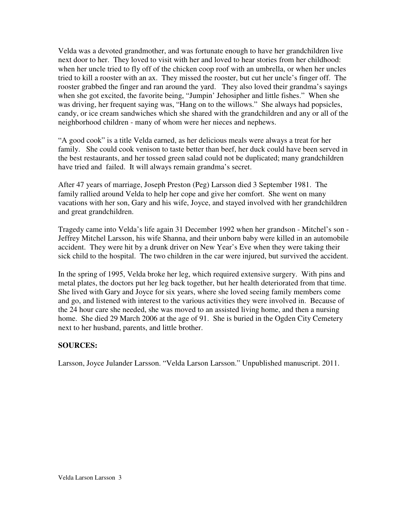Velda was a devoted grandmother, and was fortunate enough to have her grandchildren live next door to her. They loved to visit with her and loved to hear stories from her childhood: when her uncle tried to fly off of the chicken coop roof with an umbrella, or when her uncles tried to kill a rooster with an ax. They missed the rooster, but cut her uncle's finger off. The rooster grabbed the finger and ran around the yard. They also loved their grandma's sayings when she got excited, the favorite being, "Jumpin' Jehosipher and little fishes." When she was driving, her frequent saying was, "Hang on to the willows." She always had popsicles, candy, or ice cream sandwiches which she shared with the grandchildren and any or all of the neighborhood children - many of whom were her nieces and nephews.

"A good cook" is a title Velda earned, as her delicious meals were always a treat for her family. She could cook venison to taste better than beef, her duck could have been served in the best restaurants, and her tossed green salad could not be duplicated; many grandchildren have tried and failed. It will always remain grandma's secret.

After 47 years of marriage, Joseph Preston (Peg) Larsson died 3 September 1981. The family rallied around Velda to help her cope and give her comfort. She went on many vacations with her son, Gary and his wife, Joyce, and stayed involved with her grandchildren and great grandchildren.

Tragedy came into Velda's life again 31 December 1992 when her grandson - Mitchel's son - Jeffrey Mitchel Larsson, his wife Shanna, and their unborn baby were killed in an automobile accident. They were hit by a drunk driver on New Year's Eve when they were taking their sick child to the hospital. The two children in the car were injured, but survived the accident.

In the spring of 1995, Velda broke her leg, which required extensive surgery. With pins and metal plates, the doctors put her leg back together, but her health deteriorated from that time. She lived with Gary and Joyce for six years, where she loved seeing family members come and go, and listened with interest to the various activities they were involved in. Because of the 24 hour care she needed, she was moved to an assisted living home, and then a nursing home. She died 29 March 2006 at the age of 91. She is buried in the Ogden City Cemetery next to her husband, parents, and little brother.

## **SOURCES:**

Larsson, Joyce Julander Larsson. "Velda Larson Larsson." Unpublished manuscript. 2011.